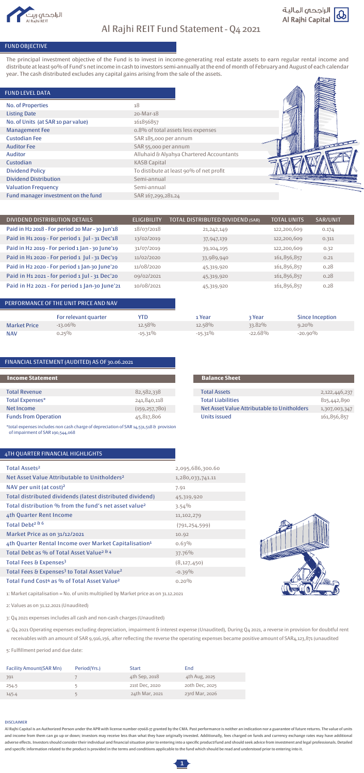### FUND OBJECTIVE

The principal investment objective of the Fund is to invest in income-generating real estate assets to earn regular rental income and distribute at least 90% of Fund's net income in cash to investors semi-annually at the end of month of February and August of each calendar year. The cash distributed excludes any capital gains arising from the sale of the assets.

#### FUND LEVEL DATA

|                     | PERFORMANCE OF THE UNIT PRICE AND NAV |            |            |           |                        |
|---------------------|---------------------------------------|------------|------------|-----------|------------------------|
|                     | For relevant quarter                  | YTD        | 1 Year     | 3 Year    | <b>Since Inception</b> |
| <b>Market Price</b> | $-13.06\%$                            | 12.58%     | 12.58%     | 33.82%    | $9.20\%$               |
| <b>NAV</b>          | $0.25\%$                              | $-15.31\%$ | $-15.31\%$ | $-22.68%$ | $-20.90\%$             |

| <b>No. of Properties</b>            | 18                                       |
|-------------------------------------|------------------------------------------|
| <b>Listing Date</b>                 | 20-Mar-18                                |
| No. of Units (at SAR 10 par value)  | 161856857                                |
| <b>Management Fee</b>               | o.8% of total assets less expenses       |
| <b>Custodian Fee</b>                | SAR 185,000 per annum                    |
| <b>Auditor Fee</b>                  | SAR 55,000 per annum                     |
| <b>Auditor</b>                      | Alluhaid & Alyahya Chartered Accountants |
| Custodian                           | <b>KASB Capital</b>                      |
| <b>Dividend Policy</b>              | To distibute at least 90% of net profit  |
| <b>Dividend Distribution</b>        | Semi-annual                              |
| <b>Valuation Frequency</b>          | Semi-annual                              |
| Fund manager investment on the fund | SAR 167,299,281.24                       |



| DIVIDEND DISTRIBUTION DETAILS                   | <b>ELIGIBILITY</b> | <b>TOTAL DISTRIBUTED DIVIDEND (SAR)</b> | <b>TOTAL UNITS</b> | SAR/UNIT |
|-------------------------------------------------|--------------------|-----------------------------------------|--------------------|----------|
| Paid in H2 2018 - For period 20 Mar - 30 Jun'18 | 18/07/2018         | 21, 242, 149                            | 122,200,609        | 0.174    |
| Paid in H1 2019 - For period 1 Jul - 31 Dec'18  | 13/02/2019         | 37,947,139                              | 122,200,609        | 0.311    |
| Paid in H2 2019 - For period 1 Jan - 30 June'19 | 31/07/2019         | 39,104,195                              | 122,200,609        | 0.32     |
| Paid in H1 2020 - For period 1 Jul - 31 Dec'19  | 11/02/2020         | 33,989,940                              | 161,856,857        | 0.21     |
| Paid in H2 2020 - For period 1 Jan-30 June'20   | 11/08/2020         | 45,319,920                              | 161,856,857        | 0.28     |
| Paid in H1 2021 - for period 1 Jul - 31 Dec'20  | 09/02/2021         | 45,319,920                              | 161,856,857        | 0.28     |
| Paid in H2 2021 - For period 1 Jan-30 June'21   | 10/08/2021         | 45,319,920                              | 161,856,857        | 0.28     |

### 4TH QUARTER FINANCIAL HIGHLIGHTS

| <b>Total Revenue</b>        | 82,582,338      |
|-----------------------------|-----------------|
| <b>Total Expenses*</b>      | 241,840,118     |
| Net Income                  | (159, 257, 780) |
| <b>Funds from Operation</b> | 45,817,806      |

#### Total Assets Total Liabilities Net Asset Value Attributable to Unitholders Units issued 2,122,446,237 815,442,890 1,307,003,347 161,856,857

| <b>Facility Amount(SAR Mn)</b> | Period(Yrs.) | Start          | End            |
|--------------------------------|--------------|----------------|----------------|
| 391                            |              | 4th Sep, 2018  | 4th Aug, 2025  |
| 254.5                          |              | 21st Dec, 2020 | 20th Dec, 2025 |
| 145.4                          |              | 24th Mar, 2021 | 23rd Mar, 2026 |



# Al Rajhi REIT Fund Statement - Q4 2021



| Total Assets <sup>2</sup>                                            | 2,095,686,300.60 |
|----------------------------------------------------------------------|------------------|
| Net Asset Value Attributable to Unitholders <sup>2</sup>             | 1,280,033,741.11 |
| NAV per unit (at cost) <sup>2</sup>                                  | 7.91             |
| Total distributed dividends (latest distributed dividend)            | 45,319,920       |
| Total distribution % from the fund's net asset value <sup>2</sup>    | $3.54\%$         |
| 4th Quarter Rent Income                                              | 11,102,279       |
| Total Debt <sup>2 &amp; 6</sup>                                      | (791, 254, 599)  |
| Market Price as on 31/12/2021                                        | 10.92            |
| 4th Quarter Rental Income over Market Capitalisation <sup>1</sup>    | 0.63%            |
| Total Debt as % of Total Asset Value <sup>2 &amp; 4</sup>            | 37.76%           |
| Total Fees & Expenses <sup>3</sup>                                   | (8, 127, 450)    |
| Total Fees & Expenses <sup>3</sup> to Total Asset Value <sup>2</sup> | $-0.39\%$        |
| Total Fund Cost <sup>4</sup> as % of Total Asset Value <sup>2</sup>  | $0.20\%$         |

\*total expenses includes non cash charge of depreciation of SAR 14,531,518 & provision of impairment of SAR 190,544,068





1: Market capitalisation = No. of units multiplied by Market price as on 31.12.2021

2: Values as on 31.12.2021 (Unaudited)

3: Q4 2021 expenses includes all cash and non-cash charges (Unaudited)

4: Q4 2021 Operating expenses excluding depreciation, impairment & interest expense (Unaudited), During Q4 2021, a reverse in provision for doubtful rent receivables with an amount of SAR 9,916,156, after reflecting the reverse the operating expenses became positive amount of SAR4,123,871 (unaudited

5: Fulfillment period and due date:

#### DISCLAIMER

Al Rajhi Capital is an Authorized Person under the APR with license number 07068-37 granted by the CMA. Past performance is neither an indication nor a guarantee of future returns. The value of units and income from them can go up or down; investors may receive less than what they have originally invested. Additionally, fees charged on funds and currency exchange rates may have additional adverse effects. Investors should consider their individual and financial situation prior to entering into a specific product/fund and should seek advice from investment and legal professionals. Detailed and specific information related to the product is provided in the terms and conditions applicable to the fund which should be read and understood prior to entering into it.



### FINANCIAL STATEMENT (AUDITED) AS OF 30.06.2021

#### **Income Statement Balance Sheet**